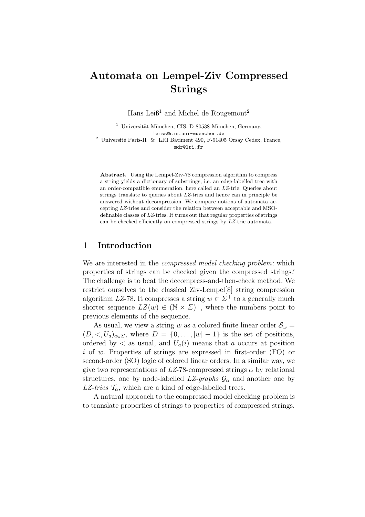# Automata on Lempel-Ziv Compressed Strings

Hans Leiß<sup>1</sup> and Michel de Rougemont<sup>2</sup>

 $1$  Universität München, CIS, D-80538 München, Germany, leiss@cis.uni-muenchen.de  $^2$ Université Paris-II & LRI Bâtiment 490, F-91405 Orsay Cedex, France, mdr@lri.fr

Abstract. Using the Lempel-Ziv-78 compression algorithm to compress a string yields a dictionary of substrings, i.e. an edge-labelled tree with an order-compatible enumeration, here called an LZ-trie. Queries about strings translate to queries about LZ-tries and hence can in principle be answered without decompression. We compare notions of automata accepting LZ-tries and consider the relation between acceptable and MSOdefinable classes of LZ-tries. It turns out that regular properties of strings can be checked efficiently on compressed strings by LZ-trie automata.

## 1 Introduction

We are interested in the *compressed model checking problem*: which properties of strings can be checked given the compressed strings? The challenge is to beat the decompress-and-then-check method. We restrict ourselves to the classical Ziv-Lempel[8] string compression algorithm LZ-78. It compresses a string  $w \in \Sigma^+$  to a generally much shorter sequence  $LZ(w) \in (\mathbb{N} \times \Sigma)^+$ , where the numbers point to previous elements of the sequence.

As usual, we view a string w as a colored finite linear order  $S_w =$  $(D, \langle U_a \rangle_{a \in \Sigma}$ , where  $D = \{0, \ldots, |w| - 1\}$  is the set of positions, ordered by  $\langle$  as usual, and  $U_a(i)$  means that a occurs at position i of w. Properties of strings are expressed in first-order (FO) or second-order (SO) logic of colored linear orders. In a similar way, we give two representations of  $LZ-78$ -compressed strings  $\alpha$  by relational structures, one by node-labelled  $LZ$ -graphs  $\mathcal{G}_{\alpha}$  and another one by LZ-tries  $\mathcal{T}_{\alpha}$ , which are a kind of edge-labelled trees.

A natural approach to the compressed model checking problem is to translate properties of strings to properties of compressed strings.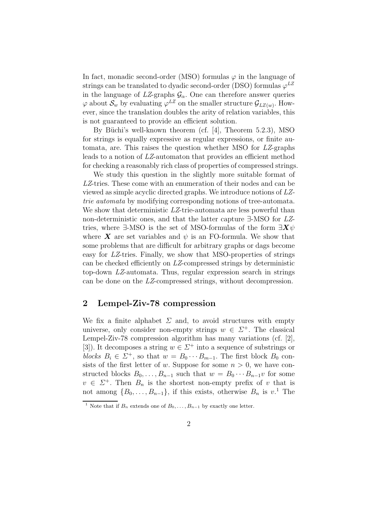In fact, monadic second-order (MSO) formulas  $\varphi$  in the language of strings can be translated to dyadic second-order (DSO) formulas  $\varphi^{LZ}$ in the language of  $LZ$ -graphs  $\mathcal{G}_{\alpha}$ . One can therefore answer queries  $\varphi$  about  $\mathcal{S}_w$  by evaluating  $\varphi^{LZ}$  on the smaller structure  $\mathcal{G}_{LZ(w)}$ . However, since the translation doubles the arity of relation variables, this is not guaranteed to provide an efficient solution.

By Büchi's well-known theorem (cf.  $[4]$ , Theorem 5.2.3), MSO for strings is equally expressive as regular expressions, or finite automata, are. This raises the question whether MSO for LZ-graphs leads to a notion of LZ-automaton that provides an efficient method for checking a reasonably rich class of properties of compressed strings.

We study this question in the slightly more suitable format of LZ-tries. These come with an enumeration of their nodes and can be viewed as simple acyclic directed graphs. We introduce notions of LZtrie automata by modifying corresponding notions of tree-automata. We show that deterministic LZ-trie-automata are less powerful than non-deterministic ones, and that the latter capture ∃-MSO for LZtries, where ∃-MSO is the set of MSO-formulas of the form  $\exists \mathbf{X} \psi$ where **X** are set variables and  $\psi$  is an FO-formula. We show that some problems that are difficult for arbitrary graphs or dags become easy for LZ-tries. Finally, we show that MSO-properties of strings can be checked efficiently on LZ-compressed strings by deterministic top-down LZ-automata. Thus, regular expression search in strings can be done on the LZ-compressed strings, without decompression.

## 2 Lempel-Ziv-78 compression

We fix a finite alphabet  $\Sigma$  and, to avoid structures with empty universe, only consider non-empty strings  $w \in \Sigma^+$ . The classical Lempel-Ziv-78 compression algorithm has many variations (cf. [2], [3]). It decomposes a string  $w \in \Sigma^+$  into a sequence of substrings or blocks  $B_i \in \Sigma^+$ , so that  $w = B_0 \cdots B_{m-1}$ . The first block  $B_0$  consists of the first letter of w. Suppose for some  $n > 0$ , we have constructed blocks  $B_0, \ldots, B_{n-1}$  such that  $w = B_0 \cdots B_{n-1} v$  for some  $v \in \Sigma^+$ . Then  $B_n$  is the shortest non-empty prefix of v that is not among  $\{B_0, \ldots, B_{n-1}\}\$ , if this exists, otherwise  $B_n$  is  $v^1$ . The

<sup>&</sup>lt;sup>1</sup> Note that if  $B_n$  extends one of  $B_0, \ldots, B_{n-1}$  by exactly one letter.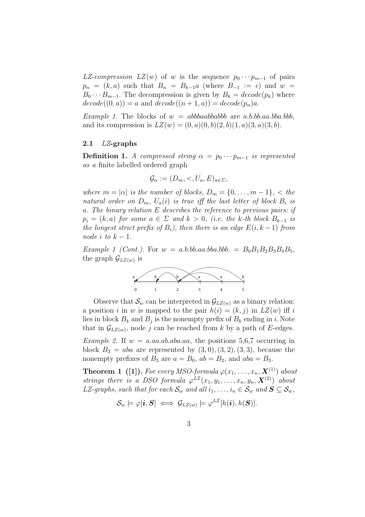LZ-compression LZ(w) of w is the sequence  $p_0 \cdots p_{m-1}$  of pairs  $p_n = (k, a)$  such that  $B_n = B_{k-1}a$  (where  $B_{-1} := \epsilon$ ) and  $w =$  $B_0 \cdots B_{m-1}$ . The decompression is given by  $B_k = decode(p_k)$  where  $decode((0, a)) = a$  and  $decode((n + 1, a)) = decode(p_n)a$ .

Example 1. The blocks of  $w = abbbaabbababb$  are a.b.bb.aa.bba.bbb, and its compression is  $LZ(w) = (0, a)(0, b)(2, b)(1, a)(3, a)(3, b)$ .

#### 2.1  $LZ$ -graphs

**Definition 1.** A compressed string  $\alpha = p_0 \cdots p_{m-1}$  is represented as a finite labelled ordered graph

$$
\mathcal{G}_{\alpha} := (D_m, \langle, U_a, E \rangle_{a \in \Sigma},
$$

where  $m = |\alpha|$  is the number of blocks,  $D_m = \{0, \ldots, m-1\}$ ,  $\lt$  the natural order on  $D_m$ ,  $U_a(i)$  is true iff the last letter of block  $B_i$  is a. The binary relation E describes the reference to previous pairs: if  $p_i = (k, a)$  for some  $a \in \Sigma$  and  $k > 0$ , (i.e. the k-th block  $B_{k-1}$  is the longest strict prefix of  $B_i$ ), then there is an edge  $E(i, k-1)$  from node i to  $k-1$ .

Example 1 (Cont.). For  $w = a.b.bb.aa.bba.bbb. = B_0B_1B_2B_3B_4B_5$ , the graph  $\mathcal{G}_{LZ(w)}$  is



Observe that  $\mathcal{S}_w$  can be interpreted in  $\mathcal{G}_{LZ(w)}$  as a binary relation: a position i in w is mapped to the pair  $h(i) = (k, j)$  in  $LZ(w)$  iff i lies in block  $B_k$  and  $B_j$  is the nonempty prefix of  $B_k$  ending in i. Note that in  $\mathcal{G}_{LZ(w)}$ , node j can be reached from k by a path of E-edges.

*Example 2.* If  $w = a.aa$ .ab.aba.aa, the positions 5,6,7 occurring in block  $B_3 = aba$  are represented by  $(3,0), (3,2), (3,3)$ , because the nonempty prefixes of  $B_3$  are  $a = B_0$ ,  $ab = B_2$ , and  $aba = B_3$ .

**Theorem 1** ([1]). For every MSO-formula  $\varphi(x_1, \ldots, x_n, \mathbf{X}^{(1)})$  about strings there is a DSO formula  $\varphi^{LZ}(x_1, y_1, \ldots, x_n, y_n, \mathbf{X}^{(2)})$  about LZ-graphs, such that for each  $\mathcal{S}_w$  and all  $i_1, \ldots, i_n \in \mathcal{S}_w$  and  $\mathbf{S} \subseteq \mathcal{S}_w$ ,

$$
\mathcal{S}_w \models \varphi[\boldsymbol{i}, \boldsymbol{S}] \iff \mathcal{G}_{LZ(w)} \models \varphi^{LZ}[h(\boldsymbol{i}), h(\boldsymbol{S})].
$$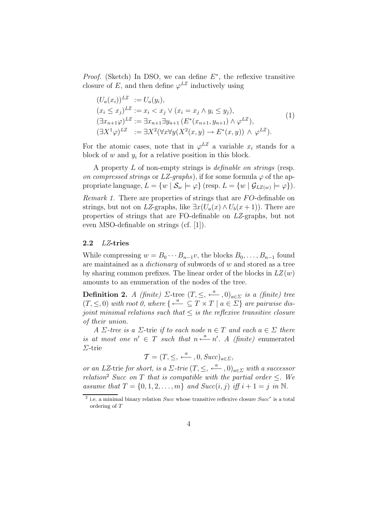*Proof.* (Sketch) In DSO, we can define  $E^*$ , the reflexive transitive closure of E, and then define  $\varphi^{LZ}$  inductively using

$$
(U_a(x_i))^{LZ} := U_a(y_i),
$$
  
\n
$$
(x_i \le x_j)^{LZ} := x_i < x_j \vee (x_i = x_j \wedge y_i \le y_j),
$$
  
\n
$$
(\exists x_{n+1} \varphi)^{LZ} := \exists x_{n+1} \exists y_{n+1} \left( E^*(x_{n+1}, y_{n+1}) \wedge \varphi^{LZ} \right),
$$
  
\n
$$
(\exists X^1 \varphi)^{LZ} := \exists X^2 (\forall x \forall y (X^2(x, y) \rightarrow E^*(x, y)) \wedge \varphi^{LZ}).
$$
\n
$$
(1)
$$

For the atomic cases, note that in  $\varphi^{LZ}$  a variable  $x_i$  stands for a block of  $w$  and  $y_i$  for a relative position in this block.

A property L of non-empty strings is definable on strings (resp. on compressed strings or LZ-graphs), if for some formula  $\varphi$  of the appropriate language,  $L = \{w \mid \mathcal{S}_w \models \varphi\}$  (resp.  $L = \{w \mid \mathcal{G}_{LZ(w)} \models \varphi\}$ ).

Remark 1. There are properties of strings that are FO-definable on strings, but not on LZ-graphs, like  $\exists x(U_a(x) \wedge U_b(x+1))$ . There are properties of strings that are FO-definable on LZ-graphs, but not even MSO-definable on strings (cf. [1]).

#### 2.2 LZ-tries

While compressing  $w = B_0 \cdots B_{n-1}v$ , the blocks  $B_0, \ldots, B_{n-1}$  found are maintained as a *dictionary* of subwords of  $w$  and stored as a tree by sharing common prefixes. The linear order of the blocks in  $LZ(w)$ amounts to an enumeration of the nodes of the tree.

**Definition 2.** A (finite)  $\Sigma$ -tree  $(T, \leq, \stackrel{a}{\longleftarrow}, 0)_{a \in \Sigma}$  is a (finite) tree  $(T, \leq, 0)$  with root 0, where  $\{\stackrel{a}{\longleftarrow} \subseteq T \times T \mid a \in \Sigma\}$  are pairwise disjoint minimal relations such that  $\leq$  is the reflexive transitive closure of their union.

A  $\Sigma$ -tree is a  $\Sigma$ -trie if to each node  $n \in T$  and each  $a \in \Sigma$  there is at most one  $n' \in T$  such that  $n \stackrel{a}{\longleftarrow} n'$ . A (finite) enumerated Σ-trie

$$
\mathcal{T} = (T, \leq, \stackrel{a}{\longleftarrow}, 0, Succ)_{a \in \Sigma},
$$

or an LZ-trie for short, is a  $\Sigma$ -trie  $(T, \leq, \stackrel{a}{\longleftarrow}, 0)_{a \in \Sigma}$  with a successor relation<sup>2</sup> Succ on T that is compatible with the partial order  $\leq$ . We assume that  $T = \{0, 1, 2, \ldots, m\}$  and  $Succ(i, j)$  iff  $i + 1 = j$  in N.

<sup>&</sup>lt;sup>2</sup> i.e. a minimal binary relation *Succ* whose transitive reflexive closure  $Succ$ <sup>\*</sup> is a total ordering of T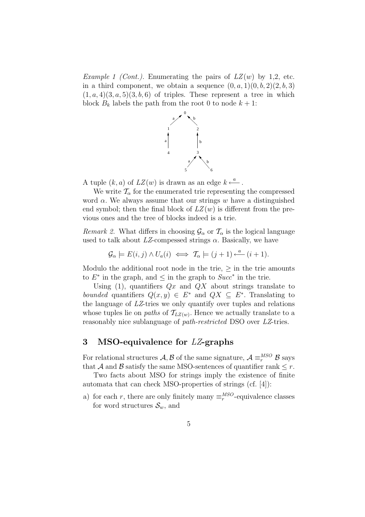*Example 1 (Cont.).* Enumerating the pairs of  $LZ(w)$  by 1,2, etc. in a third component, we obtain a sequence  $(0, a, 1)(0, b, 2)(2, b, 3)$  $(1, a, 4)(3, a, 5)(3, b, 6)$  of triples. These represent a tree in which block  $B_k$  labels the path from the root 0 to node  $k + 1$ :



A tuple  $(k, a)$  of  $LZ(w)$  is drawn as an edge  $k \stackrel{a}{\longleftarrow}$ .

We write  $\mathcal{T}_{\alpha}$  for the enumerated trie representing the compressed word  $\alpha$ . We always assume that our strings w have a distinguished end symbol; then the final block of  $LZ(w)$  is different from the previous ones and the tree of blocks indeed is a trie.

*Remark 2.* What differs in choosing  $\mathcal{G}_{\alpha}$  or  $\mathcal{T}_{\alpha}$  is the logical language used to talk about  $LZ$ -compessed strings  $\alpha$ . Basically, we have

$$
\mathcal{G}_{\alpha} \models E(i,j) \land U_a(i) \iff \mathcal{T}_{\alpha} \models (j+1) \stackrel{a}{\longleftarrow} (i+1).
$$

Modulo the additional root node in the trie,  $\geq$  in the trie amounts to  $E^*$  in the graph, and  $\leq$  in the graph to  $Succ^*$  in the trie.

Using (1), quantifiers  $Qx$  and  $Qx$  about strings translate to bounded quantifiers  $Q(x, y) \in E^*$  and  $QX \subseteq E^*$ . Translating to the language of  $LZ$ -tries we only quantify over tuples and relations whose tuples lie on *paths* of  $\mathcal{T}_{LZ(w)}$ . Hence we actually translate to a reasonably nice sublanguage of *path-restricted* DSO over LZ-tries.

# 3 MSO-equivalence for LZ-graphs

For relational structures  $A, B$  of the same signature,  $A \equiv_r^{MSO} B$  says that A and B satisfy the same MSO-sentences of quantifier rank  $\leq r$ .

Two facts about MSO for strings imply the existence of finite automata that can check MSO-properties of strings (cf. [4]):

a) for each r, there are only finitely many  $\equiv_r^{MSO}$ -equivalence classes for word structures  $\mathcal{S}_w$ , and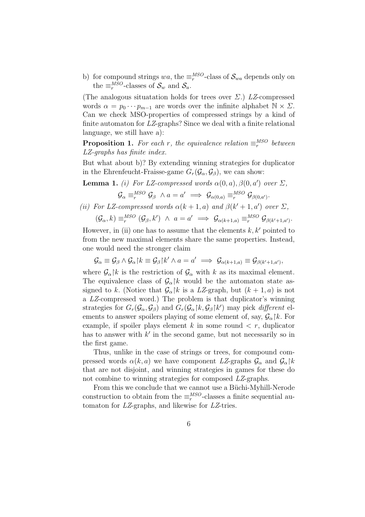b) for compound strings wa, the  $\equiv_r^{MSO}$ -class of  $\mathcal{S}_{wa}$  depends only on the  $\equiv_r^{MSO}$ -classes of  $\mathcal{S}_w$  and  $\mathcal{S}_a$ .

(The analogous situatation holds for trees over  $\Sigma$ .) LZ-compressed words  $\alpha = p_0 \cdots p_{m-1}$  are words over the infinite alphabet  $\mathbb{N} \times \Sigma$ . Can we check MSO-properties of compressed strings by a kind of finite automaton for LZ-graphs? Since we deal with a finite relational language, we still have a):

**Proposition 1.** For each r, the equivalence relation  $\equiv_r^{MSO}$  between LZ-graphs has finite index.

But what about b)? By extending winning strategies for duplicator in the Ehrenfeucht-Fraisse-game  $G_r(\mathcal{G}_{\alpha}, \mathcal{G}_{\beta})$ , we can show:

**Lemma 1.** (i) For LZ-compressed words  $\alpha(0, a)$ ,  $\beta(0, a')$  over  $\Sigma$ ,  $\mathcal{G}_{\alpha} \equiv_{r}^{MSO} \mathcal{G}_{\beta} \ \wedge a = a' \implies \mathcal{G}_{\alpha(0,a)} \equiv_{r}^{MSO} \mathcal{G}_{\beta(0,a')}.$ 

(ii) For LZ-compressed words  $\alpha(k+1, a)$  and  $\beta(k'+1, a')$  over  $\Sigma$ ,  $(\mathcal{G}_{\alpha},k)\equiv_r^{MSO}$  $\mathcal{G}_{r}^{MSO}(\mathcal{G}_{\beta},k') \ \wedge \ a=a' \implies \mathcal{G}_{\alpha(k+1,a)} \equiv_{r}^{MSO} \mathcal{G}_{\beta(k'+1,a')}.$ 

However, in (ii) one has to assume that the elements  $k, k'$  pointed to from the new maximal elements share the same properties. Instead, one would need the stronger claim

$$
\mathcal{G}_{\alpha} \equiv \mathcal{G}_{\beta} \wedge \mathcal{G}_{\alpha} | k \equiv \mathcal{G}_{\beta} | k' \wedge a = a' \implies \mathcal{G}_{\alpha(k+1,a)} \equiv \mathcal{G}_{\beta(k'+1,a')},
$$

where  $\mathcal{G}_{\alpha}$ |k is the restriction of  $\mathcal{G}_{\alpha}$  with k as its maximal element. The equivalence class of  $\mathcal{G}_{\alpha}$ |k would be the automaton state assigned to k. (Notice that  $\mathcal{G}_{\alpha}$ |k is a LZ-graph, but  $(k+1, a)$  is not a LZ-compressed word.) The problem is that duplicator's winning strategies for  $G_r(\mathcal{G}_{\alpha}, \mathcal{G}_{\beta})$  and  $G_r(\mathcal{G}_{\alpha} | k, \mathcal{G}_{\beta} | k')$  may pick different elements to answer spoilers playing of some element of, say,  $\mathcal{G}_{\alpha}$ |k. For example, if spoiler plays element k in some round  $\langle r,$  duplicator has to answer with  $k'$  in the second game, but not necessarily so in the first game.

Thus, unlike in the case of strings or trees, for compound compressed words  $\alpha(k, a)$  we have component LZ-graphs  $\mathcal{G}_{\alpha}$  and  $\mathcal{G}_{\alpha} \upharpoonright k$ that are not disjoint, and winning strategies in games for these do not combine to winning strategies for composed LZ-graphs.

From this we conclude that we cannot use a Büchi-Myhill-Nerode construction to obtain from the  $\equiv_r^{MSO}$ -classes a finite sequential automaton for LZ-graphs, and likewise for LZ-tries.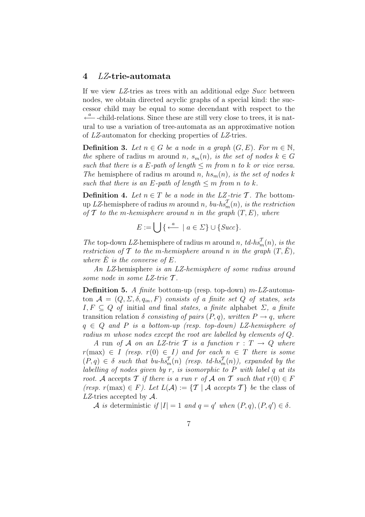## 4 LZ-trie-automata

If we view LZ-tries as trees with an additional edge Succ between nodes, we obtain directed acyclic graphs of a special kind: the successor child may be equal to some decendant with respect to the  $\stackrel{a}{\longleftarrow}$ -child-relations. Since these are still very close to trees, it is natural to use a variation of tree-automata as an approximative notion of LZ-automaton for checking properties of LZ-tries.

**Definition 3.** Let  $n \in G$  be a node in a graph  $(G, E)$ . For  $m \in \mathbb{N}$ , the sphere of radius m around n,  $s_m(n)$ , is the set of nodes  $k \in G$ such that there is a E-path of length  $\leq m$  from n to k or vice versa. The hemisphere of radius m around n,  $hs_m(n)$ , is the set of nodes k such that there is an E-path of length  $\leq m$  from n to k.

**Definition 4.** Let  $n \in T$  be a node in the LZ-trie T. The bottomup LZ-hemisphere of radius m around n,  $bu\text{-}hs_m^T(n)$ , is the restriction of  $\mathcal T$  to the m-hemisphere around n in the graph  $(T, E)$ , where

$$
E := \bigcup \{ \xleftarrow{a} \mid a \in \Sigma \} \cup \{ Succ \}.
$$

The top-down LZ-hemisphere of radius m around n,  $td\text{-}h\text{s}_{m}^{\mathcal{T}}(n)$ , is the restriction of T to the m-hemisphere around n in the graph  $(T, E)$ , where  $\dot{E}$  is the converse of  $E$ .

An LZ-hemisphere is an LZ-hemisphere of some radius around some node in some LZ-trie T .

**Definition 5.** A finite bottom-up (resp. top-down)  $m$ -LZ-automaton  $\mathcal{A} = (Q, \Sigma, \delta, q_{in}, F)$  consists of a finite set Q of states, sets  $I, F \subseteq Q$  of initial and final states, a finite alphabet  $\Sigma$ , a finite transition relation  $\delta$  consisting of pairs  $(P, q)$ , written  $P \rightarrow q$ , where  $q \in Q$  and P is a bottom-up (resp. top-down) LZ-hemisphere of radius m whose nodes except the root are labelled by elements of Q.

A run of A on an LZ-trie T is a function  $r: T \rightarrow Q$  where  $r(\text{max}) \in I$  (resp.  $r(0) \in I$ ) and for each  $n \in T$  there is some  $(P, q) \in \delta$  such that  $bu-hs_m^T(n)$  (resp. td-hs $_m^T(n)$ ), expanded by the labelling of nodes given by  $r$ , is isomorphic to  $P$  with label  $q$  at its root. A accepts T if there is a run r of A on T such that  $r(0) \in F$ (resp.  $r(\max) \in F$ ). Let  $L(\mathcal{A}) := \{ \mathcal{T} \mid \mathcal{A} \text{ accepts } \mathcal{T} \}$  be the class of LZ-tries accepted by  $\mathcal{A}$ .

A is deterministic if  $|I| = 1$  and  $q = q'$  when  $(P, q), (P, q') \in \delta$ .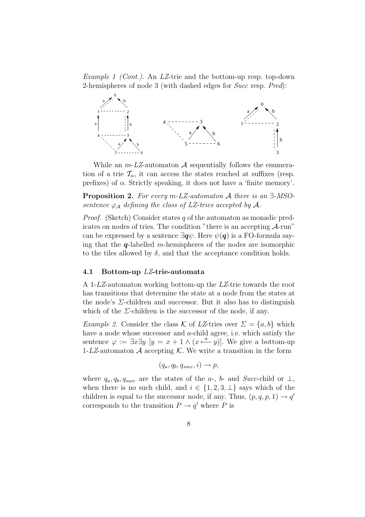Example 1 (Cont.). An LZ-trie and the bottom-up resp. top-down 2-hemispheres of node 3 (with dashed edges for Succ resp. Pred):



While an  $m$ -LZ-automaton A sequentially follows the enumeration of a trie  $\mathcal{T}_{\alpha}$ , it can access the states reached at suffixes (resp. prefixes) of  $\alpha$ . Strictly speaking, it does not have a 'finite memory'.

Proposition 2. For every m-LZ-automaton A there is an ∃-MSOsentence  $\varphi_A$  defining the class of LZ-tries accepted by A.

*Proof.* (Sketch) Consider states q of the automaton as monadic predicates on nodes of tries. The condition "there is an accepting A-run" can be expressed by a sentence  $\exists q\psi$ . Here  $\psi(q)$  is a FO-formula saying that the  $q$ -labelled m-hemispheres of the nodes are isomorphic to the tiles allowed by  $\delta$ , and that the acceptance condition holds.

#### 4.1 Bottom-up LZ-trie-automata

A 1-LZ-automaton working bottom-up the LZ-trie towards the root has transitions that determine the state at a node from the states at the node's  $\Sigma$ -children and successor. But it also has to distinguish which of the  $\Sigma$ -children is the successor of the node, if any.

Example 2. Consider the class K of LZ-tries over  $\Sigma = \{a, b\}$  which have a node whose successor and a-child agree, i.e. which satisfy the sentence  $\varphi := \exists x \exists y \ [y = x + 1 \land (x \stackrel{a}{\longleftarrow} y)].$  We give a bottom-up 1-LZ-automaton  $A$  accepting  $K$ . We write a transition in the form

$$
(q_a, q_b, q_{succ}, i) \rightarrow p,
$$

where  $q_a, q_b, q_{succ}$  are the states of the a-, b- and Succ-child or  $\perp$ , when there is no such child, and  $i \in \{1, 2, 3, \perp\}$  says which of the children is equal to the successor node, if any. Thus,  $(p, q, p, 1) \rightarrow q'$ corresponds to the transition  $P \to q'$  where P is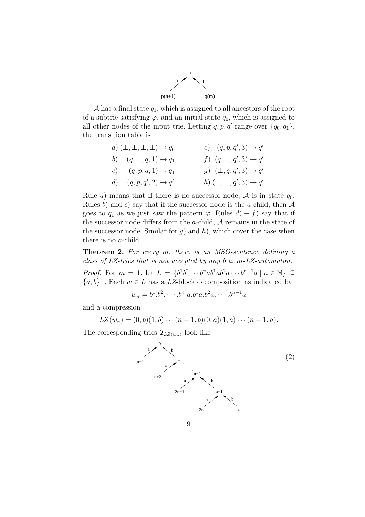

 $\mathcal A$  has a final state  $q_1$ , which is assigned to all ancestors of the root of a subtrie satisfying  $\varphi$ , and an initial state  $q_0$ , which is assigned to all other nodes of the input trie. Letting  $q, p, q'$  range over  $\{q_0, q_1\}$ , the transition table is

a) 
$$
(\bot, \bot, \bot, \bot) \rightarrow q_0
$$
  
\nb)  $(q, \bot, q, 1) \rightarrow q_1$   
\nc)  $(q, p, q, 1) \rightarrow q_1$   
\nd)  $(q, p, q', 2) \rightarrow q'$   
\ne)  $(q, p, q', 3) \rightarrow q'$   
\nf)  $(q, \bot, q', 3) \rightarrow q'$   
\ng)  $(\bot, q, q', 3) \rightarrow q'$   
\nh)  $(\bot, \bot, q', 3) \rightarrow q'$ .

Rule a) means that if there is no successor-node, A is in state  $q_0$ . Rules b) and c) say that if the successor-node is the a-child, then  $A$ goes to  $q_1$  as we just saw the pattern  $\varphi$ . Rules  $d(-f)$  say that if the successor node differs from the  $a$ -child,  $A$  remains in the state of the successor node. Similar for  $g$ ) and  $h$ ), which cover the case when there is no a-child.

**Theorem 2.** For every  $m$ , there is an MSO-sentence defining a class of LZ-tries that is not accepted by any b.u. m-LZ-automaton.

*Proof.* For  $m = 1$ , let  $L = \{b^1b^2 \cdots b^nab^1ab^2a \cdots b^{n-1}a \mid n \in \mathbb{N}\}\subseteq$  $\{a, b\}^+$ . Each  $w \in L$  has a LZ-block decomposition as indicated by

$$
w_n = b^1.b^2.\cdots.b^n.a.b^1a.b^2a.\cdots.b^{n-1}a
$$

and a compression

$$
LZ(w_n) = (0,b)(1,b)\cdots(n-1,b)(0,a)(1,a)\cdots(n-1,a).
$$

The corresponding tries  $\mathcal{T}_{LZ(w_n)}$  look like

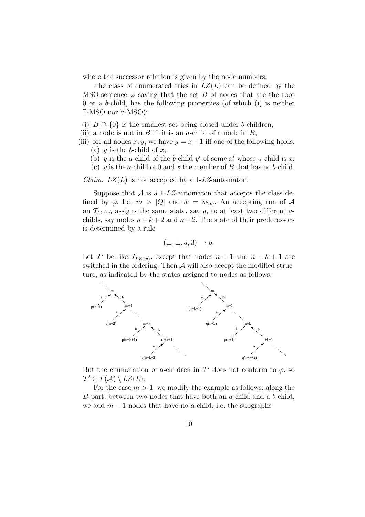where the successor relation is given by the node numbers.

The class of enumerated tries in  $LZ(L)$  can be defined by the MSO-sentence  $\varphi$  saying that the set B of nodes that are the root 0 or a b-child, has the following properties (of which (i) is neither ∃-MSO nor ∀-MSO):

- (i)  $B \supseteq \{0\}$  is the smallest set being closed under b-children,
- (ii) a node is not in  $B$  iff it is an a-child of a node in  $B$ ,
- (iii) for all nodes x, y, we have  $y = x + 1$  iff one of the following holds: (a) y is the b-child of x,
	- (b) y is the a-child of the b-child y' of some x' whose a-child is x,
	- (c) y is the a-child of 0 and x the member of B that has no b-child.

*Claim.*  $LZ(L)$  is not accepted by a 1-LZ-automaton.

Suppose that  $A$  is a 1-LZ-automaton that accepts the class defined by  $\varphi$ . Let  $m > |Q|$  and  $w = w_{2m}$ . An accepting run of A on  $\mathcal{T}_{LZ(w)}$  assigns the same state, say q, to at least two different achilds, say nodes  $n+k+2$  and  $n+2$ . The state of their predecessors is determined by a rule

$$
(\bot, \bot, q, 3) \to p.
$$

Let T' be like  $\mathcal{T}_{LZ(w)}$ , except that nodes  $n+1$  and  $n+k+1$  are switched in the ordering. Then  $A$  will also accept the modified structure, as indicated by the states assigned to nodes as follows:



But the enumeration of a-children in  $\mathcal{T}'$  does not conform to  $\varphi$ , so  $\mathcal{T}' \in T(\mathcal{A}) \setminus LZ(L).$ 

For the case  $m > 1$ , we modify the example as follows: along the B-part, between two nodes that have both an a-child and a b-child, we add  $m-1$  nodes that have no a-child, i.e. the subgraphs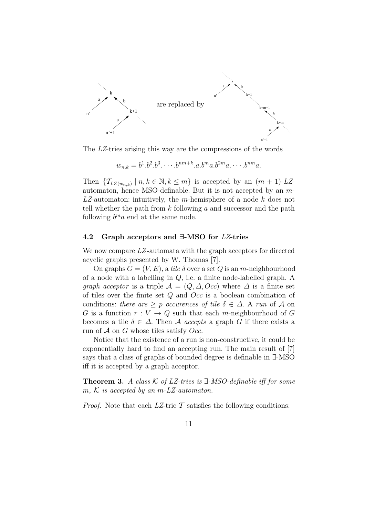

The LZ-tries arising this way are the compressions of the words

$$
w_{n,k}=b^1.b^2.b^3.\cdots.b^{nm+k}.a.b^ma.b^{2m}a.\cdots.b^{nm}a.
$$

Then  $\{ \mathcal{T}_{LZ(w_{n,k})} \mid n, k \in \mathbb{N}, k \leq m \}$  is accepted by an  $(m+1)$ -LZautomaton, hence MSO-definable. But it is not accepted by an m- $LZ$ -automaton: intuitively, the m-hemisphere of a node  $k$  does not tell whether the path from  $k$  following  $a$  and successor and the path following  $b^m a$  end at the same node.

#### 4.2 Graph acceptors and ∃-MSO for LZ-tries

We now compare LZ-automata with the graph acceptors for directed acyclic graphs presented by W. Thomas [7].

On graphs  $G = (V, E)$ , a tile  $\delta$  over a set Q is an m-neighbourhood of a node with a labelling in Q, i.e. a finite node-labelled graph. A *graph acceptor* is a triple  $\mathcal{A} = (Q, \Delta, Occ)$  where  $\Delta$  is a finite set of tiles over the finite set  $Q$  and  $Occ$  is a boolean combination of conditions: there are  $\geq p$  occurences of tile  $\delta \in \Delta$ . A run of A on G is a function  $r: V \to Q$  such that each m-neighbourhood of G becomes a tile  $\delta \in \Delta$ . Then A accepts a graph G if there exists a run of  $A$  on  $G$  whose tiles satisfy Occ.

Notice that the existence of a run is non-constructive, it could be exponentially hard to find an accepting run. The main result of [7] says that a class of graphs of bounded degree is definable in ∃-MSO iff it is accepted by a graph acceptor.

**Theorem 3.** A class  $K$  of LZ-tries is  $\exists$ -MSO-definable iff for some  $m, K$  is accepted by an  $m$ -LZ-automaton.

*Proof.* Note that each  $LZ$ -trie  $\mathcal T$  satisfies the following conditions: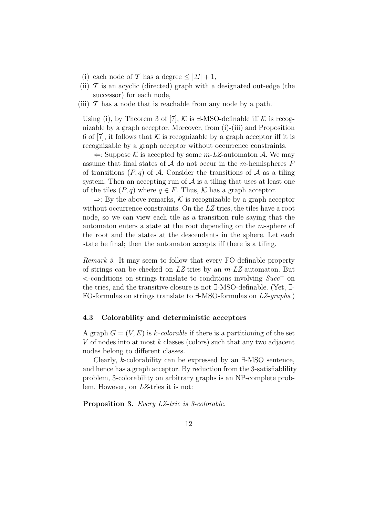- (i) each node of T has a degree  $\leq |\Sigma| + 1$ ,
- (ii)  $\mathcal T$  is an acyclic (directed) graph with a designated out-edge (the successor) for each node,
- (iii)  $\mathcal T$  has a node that is reachable from any node by a path.

Using (i), by Theorem 3 of [7],  $\mathcal K$  is  $\exists$ -MSO-definable iff  $\mathcal K$  is recognizable by a graph acceptor. Moreover, from (i)-(iii) and Proposition 6 of [7], it follows that K is recognizable by a graph acceptor iff it is recognizable by a graph acceptor without occurrence constraints.

 $\Leftarrow$ : Suppose K is accepted by some m-LZ-automaton A. We may assume that final states of  $A$  do not occur in the *m*-hemispheres  $P$ of transitions  $(P, q)$  of A. Consider the transitions of A as a tiling system. Then an accepting run of  $A$  is a tiling that uses at least one of the tiles  $(P, q)$  where  $q \in F$ . Thus, K has a graph acceptor.

 $\Rightarrow$ : By the above remarks, K is recognizable by a graph acceptor without occurrence constraints. On the LZ-tries, the tiles have a root node, so we can view each tile as a transition rule saying that the automaton enters a state at the root depending on the m-sphere of the root and the states at the descendants in the sphere. Let each state be final; then the automaton accepts iff there is a tiling.

Remark 3. It may seem to follow that every FO-definable property of strings can be checked on  $LZ$ -tries by an  $m$ - $LZ$ -automaton. But  $\le$ -conditions on strings translate to conditions involving  $Succ^+$  on the tries, and the transitive closure is not ∃-MSO-definable. (Yet, ∃- FO-formulas on strings translate to ∃-MSO-formulas on LZ-graphs.)

#### 4.3 Colorability and deterministic acceptors

A graph  $G = (V, E)$  is k-colorable if there is a partitioning of the set V of nodes into at most  $k$  classes (colors) such that any two adjacent nodes belong to different classes.

Clearly, k-colorability can be expressed by an ∃-MSO sentence, and hence has a graph acceptor. By reduction from the 3-satisfiablility problem, 3-colorability on arbitrary graphs is an NP-complete problem. However, on LZ-tries it is not:

Proposition 3. Every LZ-trie is 3-colorable.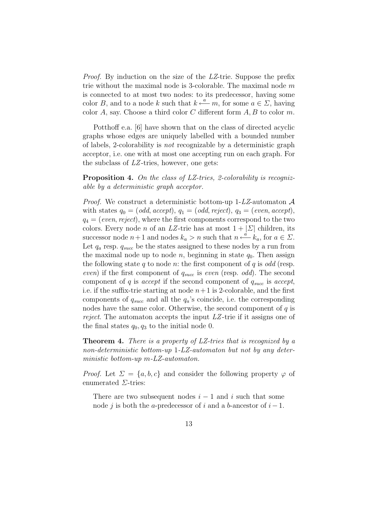Proof. By induction on the size of the LZ-trie. Suppose the prefix trie without the maximal node is 3-colorable. The maximal node  $m$ is connected to at most two nodes: to its predecessor, having some color B, and to a node k such that  $k \stackrel{a}{\longleftarrow} m$ , for some  $a \in \Sigma$ , having color  $A$ , say. Choose a third color  $C$  different form  $A, B$  to color  $m$ .

Potthoff e.a. [6] have shown that on the class of directed acyclic graphs whose edges are uniquely labelled with a bounded number of labels, 2-colorability is not recognizable by a deterministic graph acceptor, i.e. one with at most one accepting run on each graph. For the subclass of LZ -tries, however, one gets:

Proposition 4. On the class of LZ-tries, 2-colorability is recognizable by a deterministic graph acceptor.

*Proof.* We construct a deterministic bottom-up  $1-LZ$ -automaton  $A$ with states  $q_0 = (odd, accept), q_1 = (odd, reject), q_3 = (even, accept),$  $q_4 = (even, reject)$ , where the first components correspond to the two colors. Every node *n* of an LZ-trie has at most  $1 + |\Sigma|$  children, its successor node  $n+1$  and nodes  $k_a > n$  such that  $n \stackrel{a}{\longleftarrow} k_a$ , for  $a \in \Sigma$ . Let  $q_a$  resp.  $q_{succ}$  be the states assigned to these nodes by a run from the maximal node up to node n, beginning in state  $q_0$ . Then assign the following state q to node n: the first component of q is odd (resp. even) if the first component of  $q_{succ}$  is even (resp. odd). The second component of q is accept if the second component of  $q_{succ}$  is accept, i.e. if the suffix-trie starting at node  $n+1$  is 2-colorable, and the first components of  $q_{succ}$  and all the  $q_a$ 's coincide, i.e. the corresponding nodes have the same color. Otherwise, the second component of  $q$  is reject. The automaton accepts the input LZ -trie if it assigns one of the final states  $q_0, q_3$  to the initial node 0.

Theorem 4. There is a property of LZ-tries that is recognized by a non-deterministic bottom-up 1-LZ-automaton but not by any deterministic bottom-up m-LZ-automaton.

*Proof.* Let  $\Sigma = \{a, b, c\}$  and consider the following property  $\varphi$  of enumerated  $\Sigma$ -tries:

There are two subsequent nodes  $i - 1$  and i such that some node j is both the a-predecessor of i and a b-ancestor of  $i-1$ .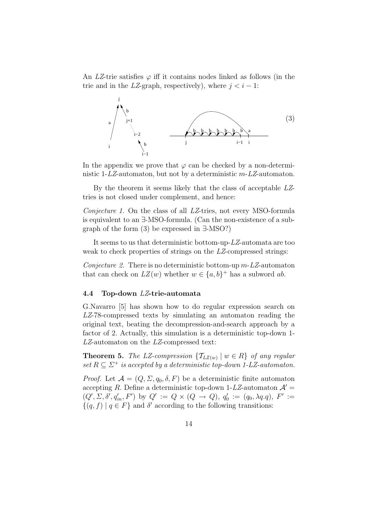An LZ-trie satisfies  $\varphi$  iff it contains nodes linked as follows (in the trie and in the LZ-graph, respectively), where  $j < i - 1$ :



In the appendix we prove that  $\varphi$  can be checked by a non-deterministic 1-LZ-automaton, but not by a deterministic m-LZ-automaton.

By the theorem it seems likely that the class of acceptable LZtries is not closed under complement, and hence:

Conjecture 1. On the class of all LZ-tries, not every MSO-formula is equivalent to an ∃-MSO-formula. (Can the non-existence of a subgraph of the form (3) be expressed in ∃-MSO?)

It seems to us that deterministic bottom-up-LZ-automata are too weak to check properties of strings on the LZ-compressed strings:

Conjecture 2. There is no deterministic bottom-up  $m$ -LZ-automaton that can check on  $LZ(w)$  whether  $w \in \{a, b\}^+$  has a subword ab.

#### 4.4 Top-down LZ-trie-automata

G.Navarro [5] has shown how to do regular expression search on LZ-78-compressed texts by simulating an automaton reading the original text, beating the decompression-and-search approach by a factor of 2. Actually, this simulation is a deterministic top-down 1- LZ-automaton on the LZ-compressed text:

**Theorem 5.** The LZ-compression  $\{T_{LZ(w)} | w \in R\}$  of any regular set  $R \subseteq \Sigma^+$  is accepted by a deterministic top-down 1-LZ-automaton.

*Proof.* Let  $\mathcal{A} = (Q, \Sigma, q_0, \delta, F)$  be a deterministic finite automaton accepting R. Define a deterministic top-down 1-LZ-automaton  $\mathcal{A}'$  =  $(Q', \Sigma, \delta', q'_{in}, F')$  by  $Q' := Q \times (Q \rightarrow Q), q'_{0}$  $Q'_0 := (q_0, \lambda q.q), \ F' :=$  $\{(q, f) | q \in F\}$  and  $\delta'$  according to the following transitions: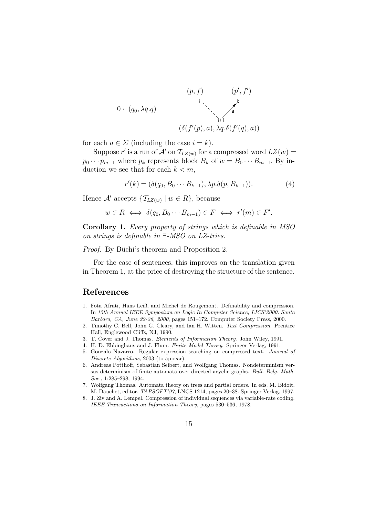

for each  $a \in \Sigma$  (including the case  $i = k$ ).

Suppose r' is a run of  $\mathcal{A}'$  on  $\mathcal{T}_{LZ(w)}$  for a compressed word  $LZ(w) =$  $p_0 \cdots p_{m-1}$  where  $p_k$  represents block  $B_k$  of  $w = B_0 \cdots B_{m-1}$ . By induction we see that for each  $k < m$ ,

$$
r'(k) = (\delta(q_0, B_0 \cdots B_{k-1}), \lambda p. \delta(p, B_{k-1})).
$$
\n(4)

Hence  $\mathcal{A}'$  accepts  $\{\mathcal{T}_{LZ(w)} \mid w \in R\}$ , because

$$
w \in R \iff \delta(q_0, B_0 \cdots B_{m-1}) \in F \iff r'(m) \in F'.
$$

Corollary 1. Every property of strings which is definable in MSO on strings is definable in ∃-MSO on LZ-tries.

*Proof.* By Büchi's theorem and Proposition 2.

For the case of sentences, this improves on the translation given in Theorem 1, at the price of destroying the structure of the sentence.

## References

- 1. Fota Afrati, Hans Leiß, and Michel de Rougemont. Definability and compression. In 15th Annual IEEE Symposium on Logic In Computer Science, LICS'2000. Santa Barbara, CA, June 22-26, 2000, pages 151–172. Computer Society Press, 2000.
- 2. Timothy C. Bell, John G. Cleary, and Ian H. Witten. Text Compression. Prentice Hall, Englewood Cliffs, NJ, 1990.
- 3. T. Cover and J. Thomas. Elements of Information Theory. John Wiley, 1991.
- 4. H.-D. Ebbinghaus and J. Flum. Finite Model Theory. Springer-Verlag, 1991.
- 5. Gonzalo Navarro. Regular expression searching on compressed text. Journal of Discrete Algorithms, 2003 (to appear).
- 6. Andreas Potthoff, Sebastian Seibert, and Wolfgang Thomas. Nondeterminism versus determinism of finite automata over directed acyclic graphs. Bull. Belg. Math. Soc., 1:285–298, 1994.
- 7. Wolfgang Thomas. Automata theory on trees and partial orders. In eds. M. Bidoit, M. Dauchet, editor, TAPSOFT'97, LNCS 1214, pages 20–38. Springer Verlag, 1997.
- 8. J. Ziv and A. Lempel. Compression of individual sequences via variable-rate coding. IEEE Transactions on Information Theory, pages 530–536, 1978.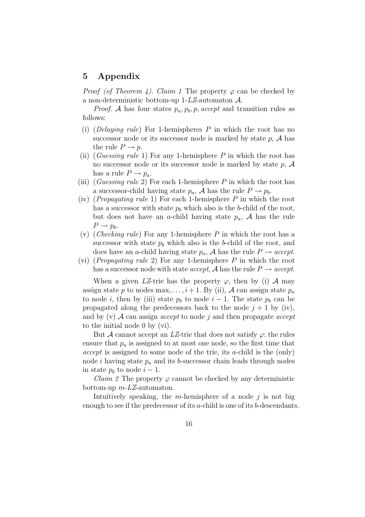# 5 Appendix

*Proof (of Theorem 4). Claim 1* The property  $\varphi$  can be checked by a non-deterministic bottom-up 1- $LZ$ -automaton  $A$ .

*Proof.* A has four states  $p_a, p_b, p, accept$  and transition rules as follows:

- (i) (Delaying rule) For 1-hemispheres  $P$  in which the root has no successor node or its successor node is marked by state  $p$ ,  $A$  has the rule  $P \rightarrow p$ .
- (ii) (Guessing rule 1) For any 1-hemisphere  $P$  in which the root has no successor node or its successor node is marked by state  $p$ ,  $A$ has a rule  $P \to p_a$ .
- (iii) (*Guessing rule 2*) For each 1-hemisphere P in which the root has a successor-child having state  $p_a$ , A has the rule  $P \to p_b$ .
- (iv) (*Propagating rule* 1) For each 1-hemisphere  $P$  in which the root has a successor with state  $p<sub>b</sub>$  which also is the b-child of the root, but does not have an a-child having state  $p_a$ , A has the rule  $P \rightarrow p_b$ .
- (v) (Checking rule) For any 1-hemisphere P in which the root has a successor with state  $p<sub>b</sub>$  which also is the b-child of the root, and does have an a-child having state  $p_a$ , A has the rule  $P \rightarrow accept.$
- (vi) (*Propagating rule* 2) For any 1-hemisphere  $P$  in which the root has a successor node with state *accept*, A has the rule  $P \rightarrow accept.$

When a given LZ-trie has the property  $\varphi$ , then by (i) A may assign state p to nodes max, ...,  $i+1$ . By (ii), A can assign state  $p_a$ to node i, then by (iii) state  $p_b$  to node  $i-1$ . The state  $p_b$  can be propagated along the predecessors back to the node  $j + 1$  by (iv), and by (v)  $\mathcal A$  can assign *accept* to node j and then propagate *accept* to the initial node 0 by (vi).

But  $\mathcal A$  cannot accept an LZ-trie that does not satisfy  $\varphi$ : the rules ensure that  $p_a$  is assigned to at most one node, so the first time that  $accept$  is assigned to some node of the trie, its a-child is the (only) node i having state  $p_a$  and its b-successor chain leads through nodes in state  $p_b$  to node  $i-1$ .

*Claim 2* The property  $\varphi$  cannot be checked by any deterministic bottom-up  $m$ -*LZ*-automaton.

Intuitively speaking, the m-hemisphere of a node  $j$  is not big enough to see if the predecessor of its a-child is one of its b-descendants.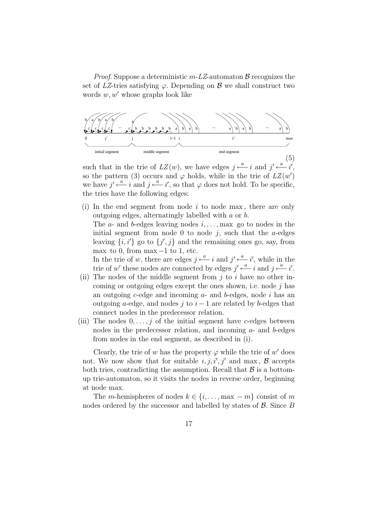*Proof.* Suppose a deterministic  $m$ -LZ-automaton  $\beta$  recognizes the set of LZ-tries satisfying  $\varphi$ . Depending on  $\beta$  we shall construct two words  $w, w'$  whose graphs look like



such that in the trie of  $LZ(w)$ , we have edges  $j \stackrel{a}{\longleftarrow} i$  and  $j' \stackrel{a}{\longleftarrow} i'$ , so the pattern (3) occurs and  $\varphi$  holds, while in the trie of  $LZ(w')$ we have  $j' \stackrel{a}{\longleftarrow} i$  and  $j \stackrel{a}{\longleftarrow} i'$ , so that  $\varphi$  does not hold. To be specific, the tries have the following edges:

(i) In the end segment from node  $i$  to node max, there are only outgoing edges, alternatingly labelled with a or b.

The  $a$ - and  $b$ -edges leaving nodes  $i, \ldots, \text{max}$  go to nodes in the initial segment from node 0 to node  $i$ , such that the a-edges leaving  $\{i, i'\}$  go to  $\{j', j\}$  and the remaining ones go, say, from max to 0, from max  $-1$  to 1, etc.

In the trie of w, there are edges  $j \stackrel{a}{\longleftarrow} i$  and  $j' \stackrel{a}{\longleftarrow} i'$ , while in the trie of w' these nodes are connected by edges  $j' \xleftarrow{a} i$  and  $j \xleftarrow{a} i'$ .

- (ii) The nodes of the middle segment from  $i$  to i have no other incoming or outgoing edges except the ones shown, i.e. node  $j$  has an outgoing c-edge and incoming  $a$ - and  $b$ -edges, node i has an outgoing a-edge, and nodes j to  $i-1$  are related by b-edges that connect nodes in the predecessor relation.
- (iii) The nodes  $0, \ldots, j$  of the initial segment have c-edges between nodes in the predecessor relation, and incoming a- and b-edges from nodes in the end segment, as described in (i).

Clearly, the trie of w has the property  $\varphi$  while the trie of w' does not. We now show that for suitable  $i, j, i', j'$  and max,  $\mathcal{B}$  accepts both tries, contradicting the assumption. Recall that  $\beta$  is a bottomup trie-automaton, so it visits the nodes in reverse order, beginning at node max.

The m-hemispheres of nodes  $k \in \{i, \ldots, \max - m\}$  consist of m nodes ordered by the successor and labelled by states of  $\beta$ . Since  $B$